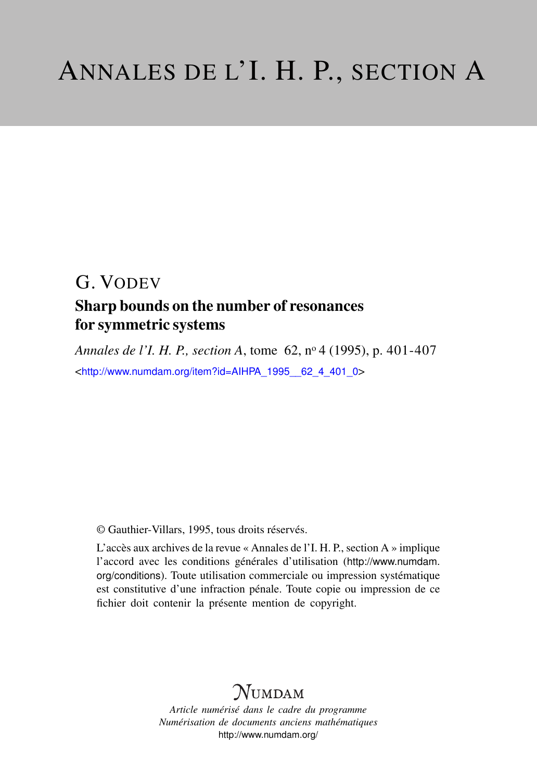# G. VODEV

### Sharp bounds on the number of resonances for symmetric systems

*Annales de l'I. H. P., section A*, tome 62, n<sup>o</sup> 4 (1995), p. 401-407 <[http://www.numdam.org/item?id=AIHPA\\_1995\\_\\_62\\_4\\_401\\_0](http://www.numdam.org/item?id=AIHPA_1995__62_4_401_0)>

© Gauthier-Villars, 1995, tous droits réservés.

L'accès aux archives de la revue « Annales de l'I. H. P., section A » implique l'accord avec les conditions générales d'utilisation ([http://www.numdam.](http://www.numdam.org/conditions) [org/conditions](http://www.numdam.org/conditions)). Toute utilisation commerciale ou impression systématique est constitutive d'une infraction pénale. Toute copie ou impression de ce fichier doit contenir la présente mention de copyright.

## $N$ UMDAM

*Article numérisé dans le cadre du programme Numérisation de documents anciens mathématiques* <http://www.numdam.org/>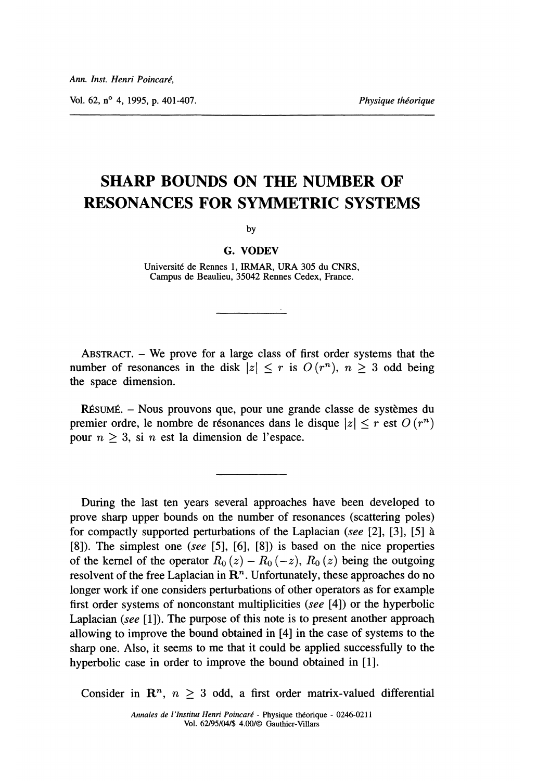vol. 62, n° 4, 1995, p. 401-407.

## SHARP BOUNDS ON THE NUMBER OF RESONANCES FOR SYMMETRIC SYSTEMS

by

#### G. VODEV

Université de Rennes 1, IRMAR, URA 305 du CNRS, Campus de Beaulieu, 35042 Rennes Cedex, France.

ABSTRACT. - We prove for a large class of first order systems that the number of resonances in the disk  $|z| \leq r$  is  $O(r^n)$ ,  $n \geq 3$  odd being the space dimension.

RÉSUMÉ. – Nous prouvons que, pour une grande classe de systèmes du premier ordre, le nombre de résonances dans le disque  $|z| \le r$  est  $O (r^n)$ pour  $n \geq 3$ , si n est la dimension de l'espace.

During the last ten years several approaches have been developed to prove sharp upper bounds on the number of resonances (scattering poles) for compactly supported perturbations of the Laplacian (see [2], [3], [5] a [8]). The simplest one (see [5], [6], [8]) is based on the nice properties of the kernel of the operator  $R_0(z) - R_0(-z)$ ,  $R_0(z)$  being the outgoing resolvent of the free Laplacian in  $\mathbb{R}^n$ . Unfortunately, these approaches do no longer work if one considers perturbations of other operators as for example first order systems of nonconstant multiplicities (see [4]) or the hyperbolic Laplacian (see  $[1]$ ). The purpose of this note is to present another approach allowing to improve the bound obtained in [4] in the case of systems to the sharp one. Also, it seems to me that it could be applied successfully to the hyperbolic case in order to improve the bound obtained in [1].

Consider in  $\mathbb{R}^n$ ,  $n \geq 3$  odd, a first order matrix-valued differential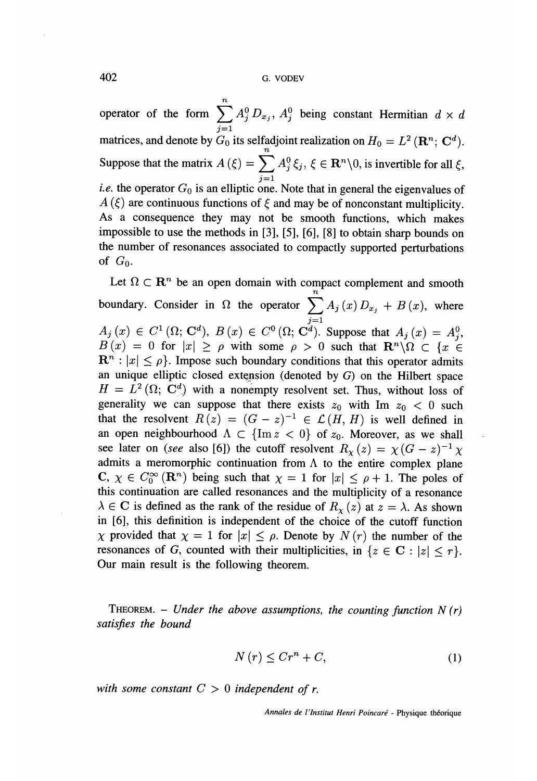402 G. VODEV

Tt operator of the form  $\sum A_j^{\circ} D_{x_j}$ ,  $A_j^{\circ}$  being constant Hermitian  $d \times d$ matrices, and denote by  $G_0$  its selfadjoint realization on  $H_0 = L^2(\mathbf{R}^n; \mathbf{C}^d)$ . Suppose that the matrix  $A(\xi) = \sum_{j=1} A_j^0 \xi_j$ ,  $\xi \in \mathbb{R}^n \setminus 0$ , is invertible for all  $\xi$ , *i.e.* the operator  $G_0$  is an elliptic one. Note that in general the eigenvalues of  $A(\xi)$  are continuous functions of  $\xi$  and may be of nonconstant multiplicity. As a consequence they may not be smooth functions, which makes impossible to use the methods in [3], [5], [6], [8] to obtain sharp bounds on the number of resonances associated to compactly supported perturbations of  $G_0$ .

Let  $\Omega \subset \mathbb{R}^n$  be an open domain with compact complement and smooth boundary. Consider in  $\Omega$  the operator  $\sum A_j(x) D_{x_j} + B(x)$ , where  $A_j(x) \in C^1(\Omega; \mathbf{C}^d), B(x) \in C^0(\Omega; \mathbf{C}^d).$  Suppose that  $A_j(x) = A_j^0$ ,  $B(x) = 0$  for  $|x| \ge \rho$  with some  $\rho > 0$  such that  $\mathbb{R}^n \setminus \Omega \subset \{x \in$  $\mathbf{R}^{n}$ :  $|x| \leq \rho$ . Impose such boundary conditions that this operator admits an unique elliptic closed extension (denoted by  $G$ ) on the Hilbert space  $H = L^2(\Omega; \mathbf{C}^d)$  with a nonempty resolvent set. Thus, without loss of generality we can suppose that there exists  $z_0$  with Im  $z_0 < 0$  such that the resolvent  $R(z) = (G - z)^{-1} \in \mathcal{L}(H, H)$  is well defined in an open neighbourhood  $\Lambda \subset \{\text{Im } z < 0\}$  of  $z_0$ . Moreover, as we shall see later on (see also [6]) the cutoff resolvent  $R_{\chi}(z) = \chi(G - z)^{-1} \chi$ admits a meromorphic continuation from  $\Lambda$  to the entire complex plane C,  $\chi \in C_0^{\infty}(\mathbb{R}^n)$  being such that  $\chi = 1$  for  $|x| \le \rho + 1$ . The poles of this continuation are called resonances and the multiplicity of a resonance  $\lambda \in \mathbb{C}$  is defined as the rank of the residue of  $R_{\chi}(z)$  at  $z = \lambda$ . As shown in [6], this definition is independent of the choice of the cutoff function  $\chi$  provided that  $\chi = 1$  for  $|x| \leq \rho$ . Denote by  $N(r)$  the number of the resonances of G, counted with their multiplicities, in  $\{z \in \mathbb{C} : |z| < r\}$ . Our main result is the following theorem.

THEOREM. – Under the above assumptions, the counting function  $N(r)$ satisfies the bound

$$
N(r) \le Cr^n + C,\tag{1}
$$

with some constant  $C > 0$  independent of r.

Annales de l'Institut Henri Poincaré - Physique théorique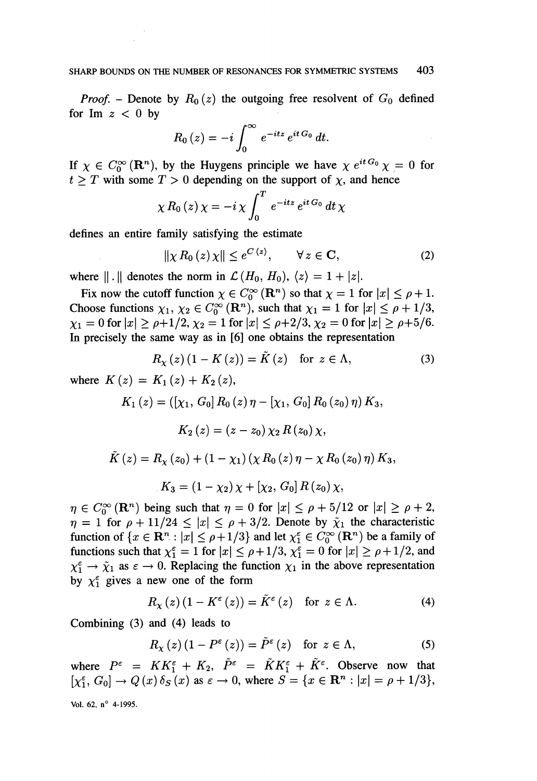*Proof.* – Denote by  $R_0(z)$  the outgoing free resolvent of  $G_0$  defined for Im  $z < 0$  by

$$
R_0(z) = -i \int_0^\infty e^{-itz} e^{it G_0} dt.
$$

If  $\chi \in C_0^{\infty}(\mathbf{R}^n)$ , by the Huygens principle we have  $\chi e^{it G_0}\chi = 0$  for  $t > T$  with some  $T > 0$  depending on the support of  $\chi$ , and hence

$$
\chi R_0(z)\,\chi=-i\,\chi\int_0^T\,e^{-itz}\,e^{it\,G_0}\,dt\,\chi
$$

defines an entire family satisfying the estimate

$$
\|\chi R_0(z)\chi\| \le e^{C\langle z\rangle}, \qquad \forall z \in \mathbf{C},\tag{2}
$$

where  $|| \cdot ||$  denotes the norm in  $\mathcal{L}(H_0, H_0), \langle z \rangle = 1 + |z|$ .

Fix now the cutoff function  $\chi \in C_0^{\infty}(\mathbb{R}^n)$  so that  $\chi = 1$  for  $|x| \le \rho + 1$ . Choose functions  $\chi_1, \chi_2 \in C_0^{\infty}(\mathbb{R}^n)$ , such that  $\chi_1 = 1$  for  $|x| \le \rho + 1/3$ ,  $\chi_1 = 0$  for  $|x| \ge \rho + 1/2$ ,  $\chi_2 = 1$  for  $|x| \le \rho + 2/3$ ,  $\chi_2 = 0$  for  $|x| \ge \rho + 5/6$ . In precisely the same way as in [6] one obtains the representation

$$
R_{\chi}(z) (1 - K(z)) = K(z) \quad \text{for } z \in \Lambda,
$$
 (3)

where  $K(z) = K_1(z) + K_2(z)$ ,

$$
K_{1}(z) = ([\chi_{1}, G_{0}] R_{0}(z) \eta - [\chi_{1}, G_{0}] R_{0}(z_{0}) \eta) K_{3},
$$
  
\n
$$
K_{2}(z) = (z - z_{0}) \chi_{2} R(z_{0}) \chi,
$$
  
\n
$$
\tilde{K}(z) = R_{\chi}(z_{0}) + (1 - \chi_{1}) (\chi R_{0}(z) \eta - \chi R_{0}(z_{0}) \eta) K_{3},
$$
  
\n
$$
K_{3} = (1 - \chi_{2}) \chi + [\chi_{2}, G_{0}] R(z_{0}) \chi,
$$

 $\eta \in C_0^{\infty}(\mathbf{R}^n)$  being such that  $\eta = 0$  for  $|x| \leq \rho + 5/12$  or  $|x| \geq \rho + 2$ ,  $\eta = 1$  for  $\rho + 11/24 \leq |x| \leq \rho + 3/2$ . Denote by  $\tilde{\chi}_1$  the characteristic function of  $\{x \in \mathbb{R}^n : |x| \leq \rho +1/3\}$  and let  $\chi_1^{\varepsilon} \in C_0^{\infty}(\mathbb{R}^n)$  be a family of functions such that  $\chi_1^{\epsilon} = 1$  for  $|x| \le \rho + 1/3$ ,  $\chi_1^{\epsilon} = 0$  for  $|x| \ge \rho + 1/2$ , and  $\chi_1^{\epsilon} \to \tilde{\chi}_1$  as  $\epsilon \to 0$ . Replacing the function  $\chi_1$  in the above representation by  $\chi_1^{\epsilon}$  gives a new one of the form

$$
R_{\chi}(z) (1 - K^{\varepsilon}(z)) = \tilde{K}^{\varepsilon}(z) \quad \text{for } z \in \Lambda.
$$
 (4)

Combining (3) and (4) leads to

$$
R_{\chi}(z) (1 - P^{\varepsilon}(z)) = \tilde{P}^{\varepsilon}(z) \quad \text{for } z \in \Lambda,
$$
 (5)

where  $P^{\varepsilon} = KK_1^{\varepsilon} + K_2$ ,  $\tilde{P}^{\varepsilon} = \tilde{K}K_1^{\varepsilon} + \tilde{K}^{\varepsilon}$ . Observe now that  $[\chi_1^{\varepsilon}, G_0] \rightarrow Q(x) \delta_S(x)$  as  $\varepsilon \rightarrow 0$ , where  $S = \{x \in \mathbb{R}^n : |x| = \rho + 1/3\},$ Vol. 62,  $n^{\circ}$  4-1995.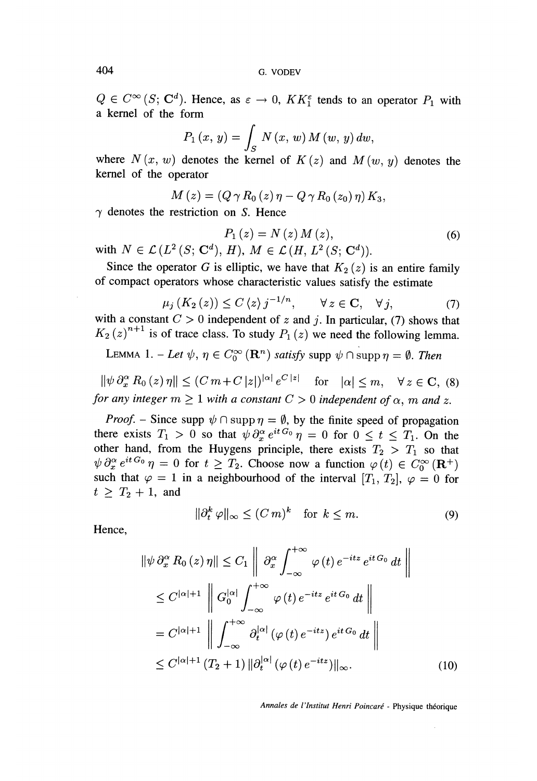$Q \in C^{\infty}(S; \mathbb{C}^{d})$ . Hence, as  $\varepsilon \to 0$ ,  $KK_1^{\varepsilon}$  tends to an operator  $P_1$  with a kernel of the form

$$
P_1(x, y) = \int_S N(x, w) M(w, y) dw,
$$

where  $N(x, w)$  denotes the kernel of  $K(z)$  and  $M(w, y)$  denotes the kernel of the operator

$$
M(z) = (Q \gamma R_0(z) \eta - Q \gamma R_0(z_0) \eta) K_3,
$$

 $\gamma$  denotes the restriction on S. Hence

$$
P_1(z) = N(z) M(z),
$$
  
\n
$$
H), M \in \mathcal{L}(H, L^2(S; \mathbf{C}^d)).
$$
\n(6)

with  $N \in \mathcal{L}(L^2(S; \mathbf{C}^d), H)$ ,  $M \in \mathcal{L}(H, L^2(S; \mathbf{C}^d))$ . Since the operator G is elliptic, we have that  $K_2(z)$  is an entire family

of compact operators whose characteristic values satisfy the estimate

$$
\mu_j\left(K_2\left(z\right)\right) \le C\left\langle z\right\rangle j^{-1/n}, \qquad \forall z \in \mathbf{C}, \quad \forall j,\tag{7}
$$

with a constant  $C > 0$  independent of z and j. In particular, (7) shows that  $K_2(z)^{n+1}$  is of trace class. To study  $P_1(z)$  we need the following lemma.

LEMMA 1. – Let 
$$
\psi
$$
,  $\eta \in C_0^{\infty}(\mathbf{R}^n)$  satisfy supp  $\psi \cap \text{supp } \eta = \emptyset$ . Then

 $\|\psi \partial_x^{\alpha} R_0(z)\eta\| \le (Cm+C|z|)^{|\alpha|} e^{C|z|}$  for  $|\alpha| \le m$ ,  $\forall z \in \mathbb{C}$ , (8) for any integer  $m \geq 1$  with a constant  $C > 0$  independent of  $\alpha$ ,  $m$  and  $z$ .

*Proof.* – Since supp  $\psi \cap \text{supp } \eta = \emptyset$ , by the finite speed of propagation there exists  $T_1 > 0$  so that  $\psi \partial_x^{\alpha} e^{it G_0} \eta = 0$  for  $0 \le t \le T_1$ . On the other hand, from the Huygens principle, there exists  $T_2 > T_1$  so that  $\psi \partial_x^{\alpha} e^{it G_0} \eta = 0$  for  $t \geq T_2$ . Choose now a function  $\varphi(t) \in C_0^{\infty}(\mathbf{R}^+)$ such that  $\varphi = 1$  in a neighbourhood of the interval  $[T_1, T_2]$ ,  $\varphi = 0$  for  $t \geq T_2 + 1$ , and

$$
\|\partial_t^k \varphi\|_{\infty} \le (Cm)^k \quad \text{for } k \le m. \tag{9}
$$

Hence,

$$
\|\psi \partial_x^{\alpha} R_0(z)\eta\| \le C_1 \left\| \partial_x^{\alpha} \int_{-\infty}^{+\infty} \varphi(t) e^{-itz} e^{itG_0} dt \right\|
$$
  
\n
$$
\le C^{|\alpha|+1} \left\| G_0^{|\alpha|} \int_{-\infty}^{+\infty} \varphi(t) e^{-itz} e^{itG_0} dt \right\|
$$
  
\n
$$
= C^{|\alpha|+1} \left\| \int_{-\infty}^{+\infty} \partial_t^{|\alpha|} (\varphi(t) e^{-itz}) e^{itG_0} dt \right\|
$$
  
\n
$$
\le C^{|\alpha|+1} (T_2 + 1) \|\partial_t^{|\alpha|} (\varphi(t) e^{-itz})\|_{\infty} .
$$
 (10)

Annales de l'Institut Henri Poincaré - Physique theorique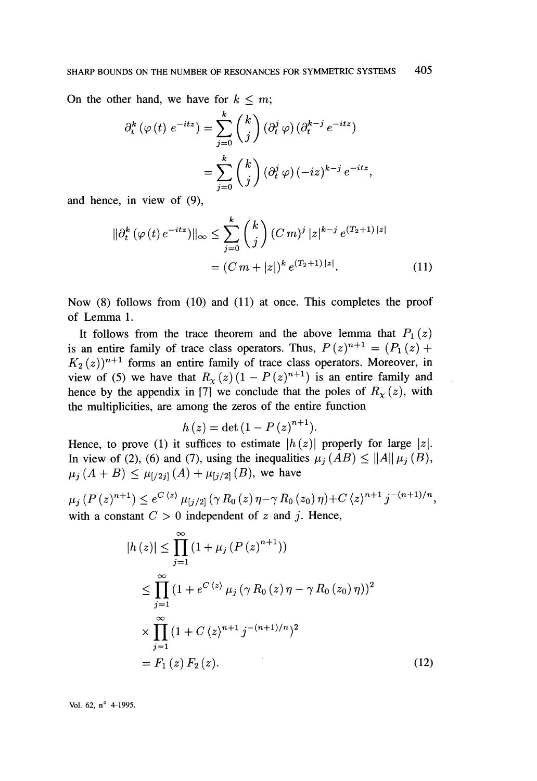On the other hand, we have for  $k \leq m$ ;

$$
\partial_t^k \left( \varphi(t) \ e^{-itz} \right) = \sum_{j=0}^k \binom{k}{j} \left( \partial_t^j \varphi \right) \left( \partial_t^{k-j} \ e^{-itz} \right)
$$

$$
= \sum_{j=0}^k \binom{k}{j} \left( \partial_t^j \varphi \right) (-iz)^{k-j} \ e^{-itz},
$$

and hence, in view of (9),

$$
\|\partial_t^k \left(\varphi(t) \, e^{-itz}\right) \|_\infty \le \sum_{j=0}^k \binom{k}{j} \left(C \, m \right)^j |z|^{k-j} \, e^{(T_2+1) \, |z|}
$$
\n
$$
= \left(C \, m + |z|\right)^k e^{(T_2+1) \, |z|}. \tag{11}
$$

Now  $(8)$  follows from  $(10)$  and  $(11)$  at once. This completes the proof of Lemma 1.

It follows from the trace theorem and the above lemma that  $P_1(z)$ is an entire family of trace class operators. Thus,  $P(z)^{n+1} = (P_1(z) +$  $K_2(z)$ <sup>n+1</sup> forms an entire family of trace class operators. Moreover, in view of (5) we have that  $R_{\chi}(z)$   $(1 - P(z)^{n+1})$  is an entire family and hence by the appendix in [7] we conclude that the poles of  $R_{\chi}(z)$ , with the multiplicities, are among the zeros of the entire function

$$
h(z) = \det(1 - P(z)^{n+1}).
$$

Hence, to prove (1) it suffices to estimate  $|h(z)|$  properly for large |z|. In view of (2), (6) and (7), using the inequalities  $\mu_j(AB) \le ||A|| \mu_j(B)$ ,  $\mu_i (A + B) \leq \mu_{i/2i} (A) + \mu_{i/2i} (B)$ , we have

 $\mu_i(P(z)^{n+1}) \leq e^{C \langle z \rangle} \mu_{[i/2]}(\gamma R_0(z) \eta - \gamma R_0(z_0) \eta) + C \langle z \rangle^{n+1} j^{-(n+1)/n},$ with a constant  $C > 0$  independent of z and j. Hence,

$$
|h(z)| \leq \prod_{j=1}^{\infty} (1 + \mu_j (P(z)^{n+1}))
$$
  
\n
$$
\leq \prod_{j=1}^{\infty} (1 + e^{C(z)} \mu_j (\gamma R_0(z) \eta - \gamma R_0(z_0) \eta))^2
$$
  
\n
$$
\times \prod_{j=1}^{\infty} (1 + C(z)^{n+1} j^{-(n+1)/n})^2
$$
  
\n
$$
= F_1(z) F_2(z).
$$
 (12)

Vol. 62,  $n^{\circ}$  4-1995.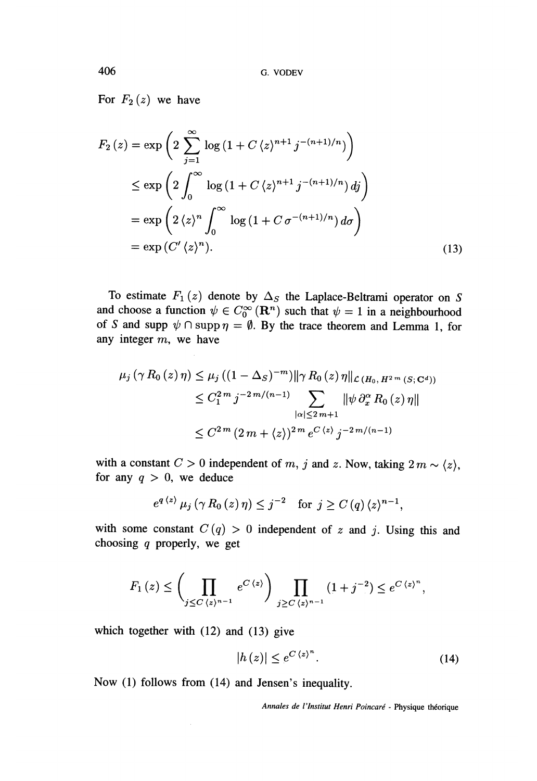For  $F_2(z)$  we have

$$
F_2(z) = \exp\left(2\sum_{j=1}^{\infty}\log\left(1 + C\langle z \rangle^{n+1}j^{-(n+1)/n}\right)\right)
$$
  
\n
$$
\leq \exp\left(2\int_0^{\infty}\log\left(1 + C\langle z \rangle^{n+1}j^{-(n+1)/n}\right)dj\right)
$$
  
\n
$$
= \exp\left(2\langle z \rangle^n \int_0^{\infty}\log\left(1 + C\sigma^{-(n+1)/n}\right)d\sigma\right)
$$
  
\n
$$
= \exp\left(C'\langle z \rangle^n\right).
$$
 (13)

To estimate  $F_1(z)$  denote by  $\Delta_S$  the Laplace-Beltrami operator on S and choose a function  $\psi \in C_0^{\infty}(\mathbb{R}^n)$  such that  $\psi = 1$  in a neighbourhood of S and supp  $\psi \cap \text{supp } \eta = \emptyset$ . By the trace theorem and Lemma 1, for any integer  $m$ , we have

$$
\mu_{j}(\gamma R_{0}(z) \eta) \leq \mu_{j}((1 - \Delta_{S})^{-m}) ||\gamma R_{0}(z) \eta||_{\mathcal{L}(H_{0}, H^{2m}(S; \mathbb{C}^{d}))}
$$
  
\n
$$
\leq C_{1}^{2m} j^{-2m/(n-1)} \sum_{|\alpha| \leq 2m+1} ||\psi \partial_{x}^{\alpha} R_{0}(z) \eta||
$$
  
\n
$$
\leq C_{1}^{2m} (2m + \langle z \rangle)^{2m} e^{C \langle z \rangle} j^{-2m/(n-1)}
$$

with a constant  $C > 0$  independent of  $m$ ,  $j$  and  $z$ . Now, taking  $2 m \sim \langle z \rangle$ , for any  $q > 0$ , we deduce

$$
e^{q \langle z \rangle} \mu_j(\gamma R_0(z)\eta) \leq j^{-2}
$$
 for  $j \geq C(q) \langle z \rangle^{n-1}$ ,

with some constant  $C(q) > 0$  independent of z and j. Using this and choosing  $q$  properly, we get

$$
F_1(z) \leq \left(\prod_{j \leq C \langle z \rangle^{n-1}} e^{C \langle z \rangle} \right) \prod_{j \geq C \langle z \rangle^{n-1}} (1+j^{-2}) \leq e^{C \langle z \rangle^n},
$$

which together with  $(12)$  and  $(13)$  give

$$
|h(z)| \le e^{C\langle z \rangle^n}.\tag{14}
$$

Now (1) follows from (14) and Jensen's inequality.

Annales de l'Institut Henri Poincaré - Physique théorique